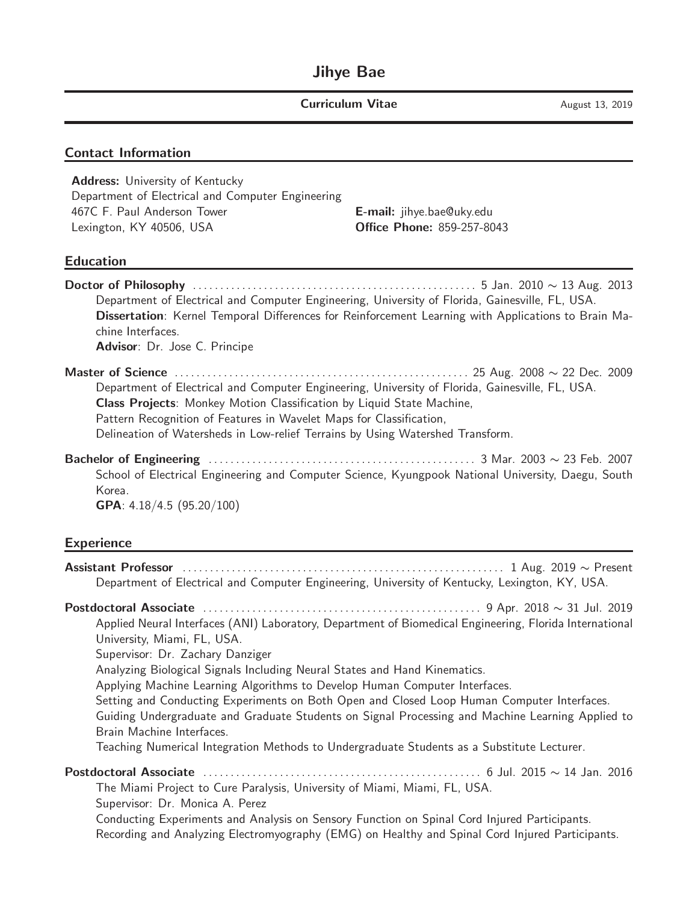#### Contact Information

Address: University of Kentucky Department of Electrical and Computer Engineering 467C F. Paul Anderson Tower **E-mail:** jihye.bae@uky.edu Lexington, KY 40506, USA **CHILLA COREGO Phone:** 859-257-8043

#### Education

Doctor of Philosophy . . . . . . . . . . . . . . . . . . . . . . . . . . . . . . . . . . . . . . . . . . . . . . . . . . . . 5 Jan. 2010 ∼ 13 Aug. 2013 Department of Electrical and Computer Engineering, University of Florida, Gainesville, FL, USA. Dissertation: Kernel Temporal Differences for Reinforcement Learning with Applications to Brain Machine Interfaces. Advisor: Dr. Jose C. Principe Master of Science . . . . . . . . . . . . . . . . . . . . . . . . . . . . . . . . . . . . . . . . . . . . . . . . . . . . . . 25 Aug. 2008 ∼ 22 Dec. 2009 Department of Electrical and Computer Engineering, University of Florida, Gainesville, FL, USA. Class Projects: Monkey Motion Classification by Liquid State Machine, Pattern Recognition of Features in Wavelet Maps for Classification, Delineation of Watersheds in Low-relief Terrains by Using Watershed Transform. Bachelor of Engineering . . . . . . . . . . . . . . . . . . . . . . . . . . . . . . . . . . . . . . . . . . . . . . . . . 3 Mar. 2003 ∼ 23 Feb. 2007 School of Electrical Engineering and Computer Science, Kyungpook National University, Daegu, South Korea. GPA: 4.18/4.5 (95.20/100) Experience Assistant Professor . . . . . . . . . . . . . . . . . . . . . . . . . . . . . . . . . . . . . . . . . . . . . . . . . . . . . . . . . . . 1 Aug. 2019 ∼ Present Department of Electrical and Computer Engineering, University of Kentucky, Lexington, KY, USA. Postdoctoral Associate . . . . . . . . . . . . . . . . . . . . . . . . . . . . . . . . . . . . . . . . . . . . . . . . . . . 9 Apr. 2018 ∼ 31 Jul. 2019 Applied Neural Interfaces (ANI) Laboratory, Department of Biomedical Engineering, Florida International University, Miami, FL, USA. Supervisor: Dr. Zachary Danziger Analyzing Biological Signals Including Neural States and Hand Kinematics. Applying Machine Learning Algorithms to Develop Human Computer Interfaces. Setting and Conducting Experiments on Both Open and Closed Loop Human Computer Interfaces. Guiding Undergraduate and Graduate Students on Signal Processing and Machine Learning Applied to Brain Machine Interfaces. Teaching Numerical Integration Methods to Undergraduate Students as a Substitute Lecturer. Postdoctoral Associate . . . . . . . . . . . . . . . . . . . . . . . . . . . . . . . . . . . . . . . . . . . . . . . . . . . 6 Jul. 2015 ∼ 14 Jan. 2016 The Miami Project to Cure Paralysis, University of Miami, Miami, FL, USA. Supervisor: Dr. Monica A. Perez Conducting Experiments and Analysis on Sensory Function on Spinal Cord Injured Participants. Recording and Analyzing Electromyography (EMG) on Healthy and Spinal Cord Injured Participants.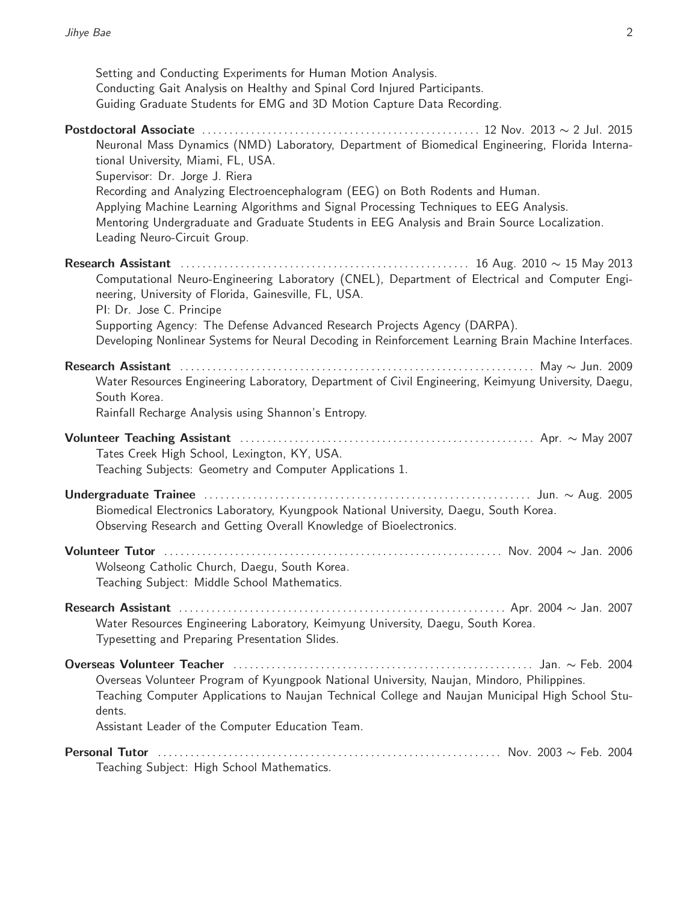| Setting and Conducting Experiments for Human Motion Analysis.<br>Conducting Gait Analysis on Healthy and Spinal Cord Injured Participants.<br>Guiding Graduate Students for EMG and 3D Motion Capture Data Recording.                                                                                   |
|---------------------------------------------------------------------------------------------------------------------------------------------------------------------------------------------------------------------------------------------------------------------------------------------------------|
| Neuronal Mass Dynamics (NMD) Laboratory, Department of Biomedical Engineering, Florida Interna-<br>tional University, Miami, FL, USA.<br>Supervisor: Dr. Jorge J. Riera                                                                                                                                 |
| Recording and Analyzing Electroencephalogram (EEG) on Both Rodents and Human.<br>Applying Machine Learning Algorithms and Signal Processing Techniques to EEG Analysis.<br>Mentoring Undergraduate and Graduate Students in EEG Analysis and Brain Source Localization.<br>Leading Neuro-Circuit Group. |
| Computational Neuro-Engineering Laboratory (CNEL), Department of Electrical and Computer Engi-<br>neering, University of Florida, Gainesville, FL, USA.<br>PI: Dr. Jose C. Principe<br>Supporting Agency: The Defense Advanced Research Projects Agency (DARPA).                                        |
| Developing Nonlinear Systems for Neural Decoding in Reinforcement Learning Brain Machine Interfaces.                                                                                                                                                                                                    |
| Water Resources Engineering Laboratory, Department of Civil Engineering, Keimyung University, Daegu,<br>South Korea.<br>Rainfall Recharge Analysis using Shannon's Entropy.                                                                                                                             |
| Tates Creek High School, Lexington, KY, USA.<br>Teaching Subjects: Geometry and Computer Applications 1.                                                                                                                                                                                                |
| Biomedical Electronics Laboratory, Kyungpook National University, Daegu, South Korea.<br>Observing Research and Getting Overall Knowledge of Bioelectronics.                                                                                                                                            |
| Wolseong Catholic Church, Daegu, South Korea.<br>Teaching Subject: Middle School Mathematics.                                                                                                                                                                                                           |
| Water Resources Engineering Laboratory, Keimyung University, Daegu, South Korea.<br>Typesetting and Preparing Presentation Slides.                                                                                                                                                                      |
| Overseas Volunteer Program of Kyungpook National University, Naujan, Mindoro, Philippines.<br>Teaching Computer Applications to Naujan Technical College and Naujan Municipal High School Stu-<br>dents.                                                                                                |
| Assistant Leader of the Computer Education Team.                                                                                                                                                                                                                                                        |
| Teaching Subject: High School Mathematics.                                                                                                                                                                                                                                                              |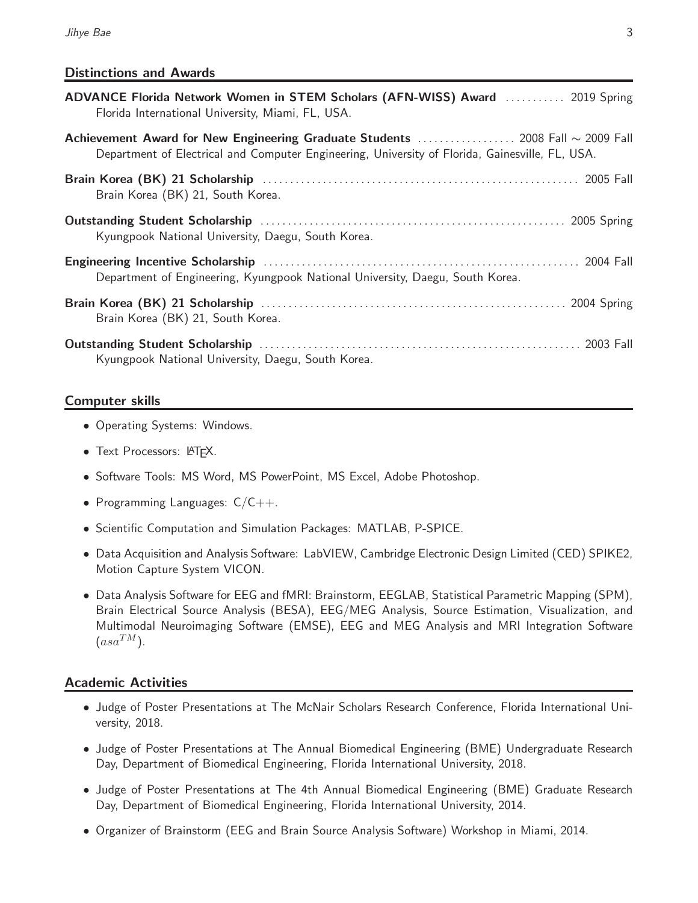## Distinctions and Awards

| ADVANCE Florida Network Women in STEM Scholars (AFN-WISS) Award  2019 Spring<br>Florida International University, Miami, FL, USA.                                                 |
|-----------------------------------------------------------------------------------------------------------------------------------------------------------------------------------|
| Achievement Award for New Engineering Graduate Students  2008 Fall ~ 2009 Fall<br>Department of Electrical and Computer Engineering, University of Florida, Gainesville, FL, USA. |
| Brain Korea (BK) 21, South Korea.                                                                                                                                                 |
| Kyungpook National University, Daegu, South Korea.                                                                                                                                |
| Department of Engineering, Kyungpook National University, Daegu, South Korea.                                                                                                     |
| Brain Korea (BK) 21, South Korea.                                                                                                                                                 |
| Kyungpook National University, Daegu, South Korea.                                                                                                                                |

### Computer skills

- Operating Systems: Windows.
- Text Processors: LATFX.
- Software Tools: MS Word, MS PowerPoint, MS Excel, Adobe Photoshop.
- Programming Languages:  $C/C++$ .
- Scientific Computation and Simulation Packages: MATLAB, P-SPICE.
- Data Acquisition and Analysis Software: LabVIEW, Cambridge Electronic Design Limited (CED) SPIKE2, Motion Capture System VICON.
- Data Analysis Software for EEG and fMRI: Brainstorm, EEGLAB, Statistical Parametric Mapping (SPM), Brain Electrical Source Analysis (BESA), EEG/MEG Analysis, Source Estimation, Visualization, and Multimodal Neuroimaging Software (EMSE), EEG and MEG Analysis and MRI Integration Software  $(asa^{TM}).$

## Academic Activities

- Judge of Poster Presentations at The McNair Scholars Research Conference, Florida International University, 2018.
- Judge of Poster Presentations at The Annual Biomedical Engineering (BME) Undergraduate Research Day, Department of Biomedical Engineering, Florida International University, 2018.
- Judge of Poster Presentations at The 4th Annual Biomedical Engineering (BME) Graduate Research Day, Department of Biomedical Engineering, Florida International University, 2014.
- Organizer of Brainstorm (EEG and Brain Source Analysis Software) Workshop in Miami, 2014.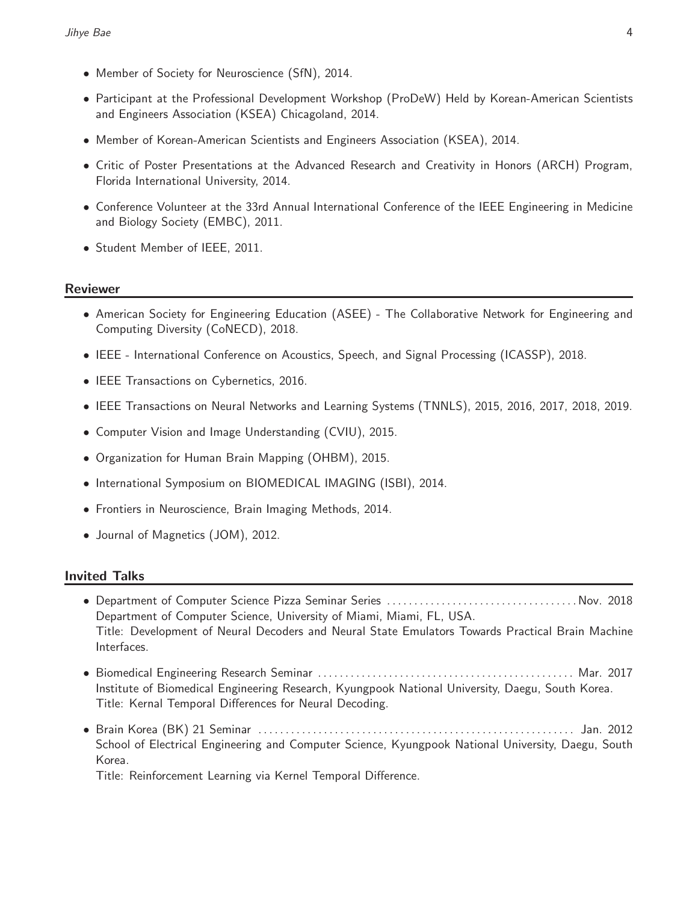- Member of Society for Neuroscience (SfN), 2014.
- Participant at the Professional Development Workshop (ProDeW) Held by Korean-American Scientists and Engineers Association (KSEA) Chicagoland, 2014.
- Member of Korean-American Scientists and Engineers Association (KSEA), 2014.
- Critic of Poster Presentations at the Advanced Research and Creativity in Honors (ARCH) Program, Florida International University, 2014.
- Conference Volunteer at the 33rd Annual International Conference of the IEEE Engineering in Medicine and Biology Society (EMBC), 2011.
- Student Member of IEEE, 2011.

#### Reviewer

- American Society for Engineering Education (ASEE) The Collaborative Network for Engineering and Computing Diversity (CoNECD), 2018.
- IEEE International Conference on Acoustics, Speech, and Signal Processing (ICASSP), 2018.
- IEEE Transactions on Cybernetics, 2016.
- IEEE Transactions on Neural Networks and Learning Systems (TNNLS), 2015, 2016, 2017, 2018, 2019.
- Computer Vision and Image Understanding (CVIU), 2015.
- Organization for Human Brain Mapping (OHBM), 2015.
- International Symposium on BIOMEDICAL IMAGING (ISBI), 2014.
- Frontiers in Neuroscience, Brain Imaging Methods, 2014.
- Journal of Magnetics (JOM), 2012.

#### Invited Talks

- Department of Computer Science Pizza Seminar Series . . . . . . . . . . . . . . . . . . . . . . . . . . . . . . . . . . . Nov. 2018 Department of Computer Science, University of Miami, Miami, FL, USA. Title: Development of Neural Decoders and Neural State Emulators Towards Practical Brain Machine Interfaces.
- Biomedical Engineering Research Seminar . . . . . . . . . . . . . . . . . . . . . . . . . . . . . . . . . . . . . . . . . . . . . . . Mar. 2017 Institute of Biomedical Engineering Research, Kyungpook National University, Daegu, South Korea. Title: Kernal Temporal Differences for Neural Decoding.
- Brain Korea (BK) 21 Seminar . . . . . . . . . . . . . . . . . . . . . . . . . . . . . . . . . . . . . . . . . . . . . . . . . . . . . . . . . . Jan. 2012 School of Electrical Engineering and Computer Science, Kyungpook National University, Daegu, South Korea.

Title: Reinforcement Learning via Kernel Temporal Difference.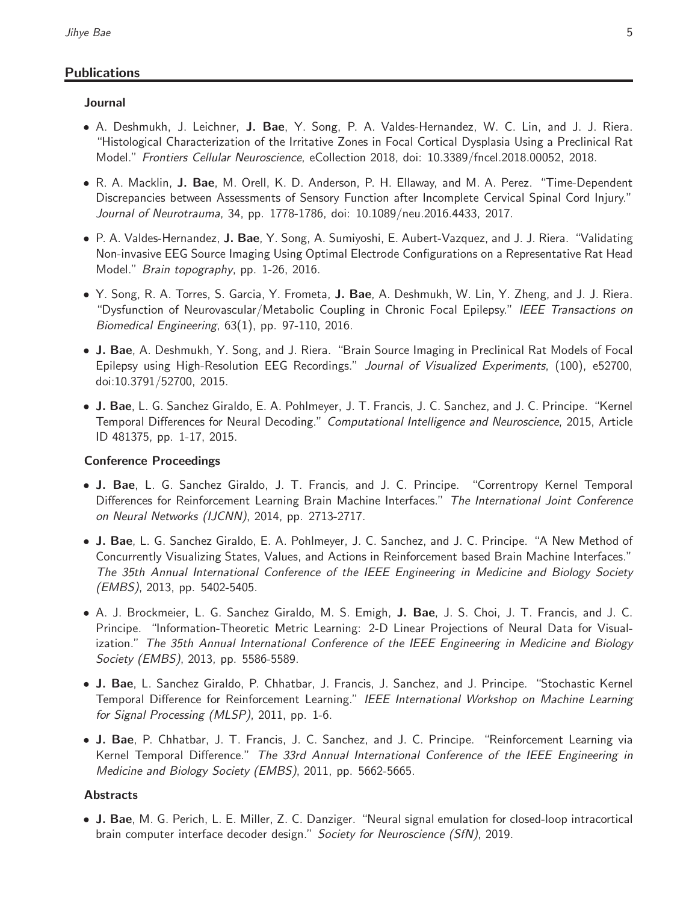# **Publications**

## Journal

- A. Deshmukh, J. Leichner, J. Bae, Y. Song, P. A. Valdes-Hernandez, W. C. Lin, and J. J. Riera. "Histological Characterization of the Irritative Zones in Focal Cortical Dysplasia Using a Preclinical Rat Model." Frontiers Cellular Neuroscience, eCollection 2018, doi: 10.3389/fncel.2018.00052, 2018.
- R. A. Macklin, J. Bae, M. Orell, K. D. Anderson, P. H. Ellaway, and M. A. Perez. "Time-Dependent Discrepancies between Assessments of Sensory Function after Incomplete Cervical Spinal Cord Injury." Journal of Neurotrauma, 34, pp. 1778-1786, doi: 10.1089/neu.2016.4433, 2017.
- P. A. Valdes-Hernandez, J. Bae, Y. Song, A. Sumiyoshi, E. Aubert-Vazquez, and J. J. Riera. "Validating Non-invasive EEG Source Imaging Using Optimal Electrode Configurations on a Representative Rat Head Model." Brain topography, pp. 1-26, 2016.
- Y. Song, R. A. Torres, S. Garcia, Y. Frometa, J. Bae, A. Deshmukh, W. Lin, Y. Zheng, and J. J. Riera. "Dysfunction of Neurovascular/Metabolic Coupling in Chronic Focal Epilepsy." IEEE Transactions on Biomedical Engineering, 63(1), pp. 97-110, 2016.
- J. Bae, A. Deshmukh, Y. Song, and J. Riera. "Brain Source Imaging in Preclinical Rat Models of Focal Epilepsy using High-Resolution EEG Recordings." Journal of Visualized Experiments, (100), e52700, doi:10.3791/52700, 2015.
- J. Bae, L. G. Sanchez Giraldo, E. A. Pohlmeyer, J. T. Francis, J. C. Sanchez, and J. C. Principe. "Kernel Temporal Differences for Neural Decoding." Computational Intelligence and Neuroscience, 2015, Article ID 481375, pp. 1-17, 2015.

## Conference Proceedings

- J. Bae, L. G. Sanchez Giraldo, J. T. Francis, and J. C. Principe. "Correntropy Kernel Temporal Differences for Reinforcement Learning Brain Machine Interfaces." The International Joint Conference on Neural Networks (IJCNN), 2014, pp. 2713-2717.
- J. Bae, L. G. Sanchez Giraldo, E. A. Pohlmeyer, J. C. Sanchez, and J. C. Principe. "A New Method of Concurrently Visualizing States, Values, and Actions in Reinforcement based Brain Machine Interfaces." The 35th Annual International Conference of the IEEE Engineering in Medicine and Biology Society (EMBS), 2013, pp. 5402-5405.
- A. J. Brockmeier, L. G. Sanchez Giraldo, M. S. Emigh, J. Bae, J. S. Choi, J. T. Francis, and J. C. Principe. "Information-Theoretic Metric Learning: 2-D Linear Projections of Neural Data for Visualization." The 35th Annual International Conference of the IEEE Engineering in Medicine and Biology Society (EMBS), 2013, pp. 5586-5589.
- J. Bae, L. Sanchez Giraldo, P. Chhatbar, J. Francis, J. Sanchez, and J. Principe. "Stochastic Kernel Temporal Difference for Reinforcement Learning." IEEE International Workshop on Machine Learning for Signal Processing (MLSP), 2011, pp. 1-6.
- J. Bae, P. Chhatbar, J. T. Francis, J. C. Sanchez, and J. C. Principe. "Reinforcement Learning via Kernel Temporal Difference." The 33rd Annual International Conference of the IEEE Engineering in Medicine and Biology Society (EMBS), 2011, pp. 5662-5665.

# **Abstracts**

• J. Bae, M. G. Perich, L. E. Miller, Z. C. Danziger. "Neural signal emulation for closed-loop intracortical brain computer interface decoder design." Society for Neuroscience (SfN), 2019.